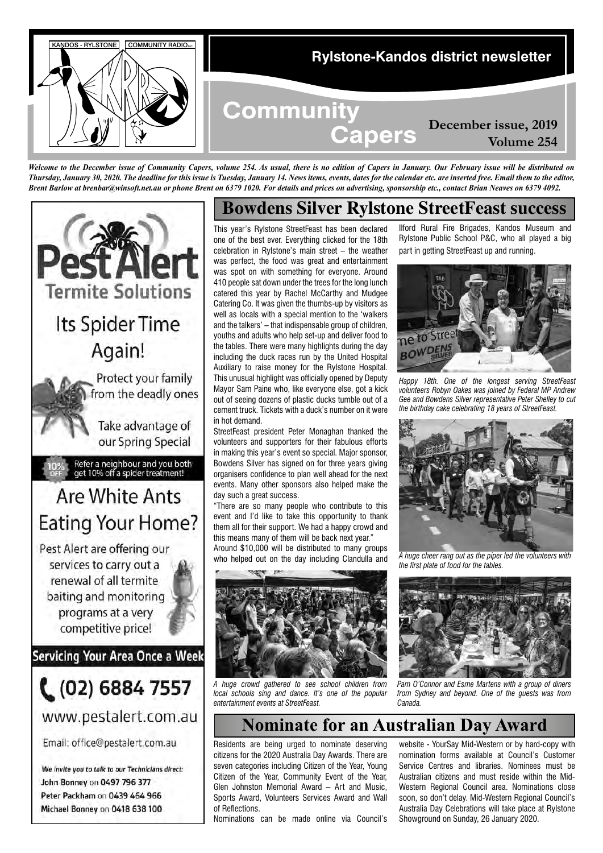

*Welcome to the December issue of Community Capers, volume 254. As usual, there is no edition of Capers in January. Our February issue will be distributed on Thursday, January 30, 2020. The deadline for this issue is Tuesday, January 14. News items, events, dates for the calendar etc. are inserted free. Email them to the editor, Brent Barlow at brenbar@winsoft.net.au or phone Brent on 6379 1020. For details and prices on advertising, sponsorship etc., contact Brian Neaves on 6379 4092.*



Peter Packham on 0439 464 966 Michael Bonney on 0418 638 100

# **Bowdens Silver Rylstone StreetFeast success**

This year's Rylstone StreetFeast has been declared one of the best ever. Everything clicked for the 18th celebration in Rylstone's main street – the weather was perfect, the food was great and entertainment was spot on with something for everyone. Around 410 people sat down under the trees for the long lunch catered this year by Rachel McCarthy and Mudgee Catering Co. It was given the thumbs-up by visitors as well as locals with a special mention to the 'walkers and the talkers' – that indispensable group of children, youths and adults who help set-up and deliver food to the tables. There were many highlights during the day including the duck races run by the United Hospital Auxiliary to raise money for the Rylstone Hospital. This unusual highlight was officially opened by Deputy Mayor Sam Paine who, like everyone else, got a kick out of seeing dozens of plastic ducks tumble out of a cement truck. Tickets with a duck's number on it were in hot demand.

StreetFeast president Peter Monaghan thanked the volunteers and supporters for their fabulous efforts in making this year's event so special. Major sponsor, Bowdens Silver has signed on for three years giving organisers confidence to plan well ahead for the next events. Many other sponsors also helped make the day such a great success.

"There are so many people who contribute to this event and I'd like to take this opportunity to thank them all for their support. We had a happy crowd and this means many of them will be back next year."

Around \$10,000 will be distributed to many groups who helped out on the day including Clandulla and



*A huge crowd gathered to see school children from local* schools sing and dance. It's one of the popular *entertainment events at StreetFeast.*

Ilford Rural Fire Brigades, Kandos Museum and Rylstone Public School P&C, who all played a big part in getting StreetFeast up and running.



*Happy 18th. One of the longest serving StreetFeast volunteers Robyn Oakes was joined by Federal MP Andrew Gee and Bowdens Silver representative Peter Shelley to cut the birthday cake celebrating 18 years of StreetFeast.*



*A huge cheer rang out as the piper led the volunteers with the first plate of food for the tables.*



*Pam O'Connor and Esme Martens with a group of diners from Sydney and beyond. One of the guests was from Canada.*

# **Nominate for an Australian Day Award**

Residents are being urged to nominate deserving citizens for the 2020 Australia Day Awards. There are seven categories including Citizen of the Year, Young Citizen of the Year, Community Event of the Year, Glen Johnston Memorial Award – Art and Music, Sports Award, Volunteers Services Award and Wall of Reflections.

Nominations can be made online via Council's

website - YourSay Mid-Western or by hard-copy with nomination forms available at Council's Customer Service Centres and libraries. Nominees must be Australian citizens and must reside within the Mid-Western Regional Council area. Nominations close soon, so don't delay. Mid-Western Regional Council's Australia Day Celebrations will take place at Rylstone Showground on Sunday, 26 January 2020.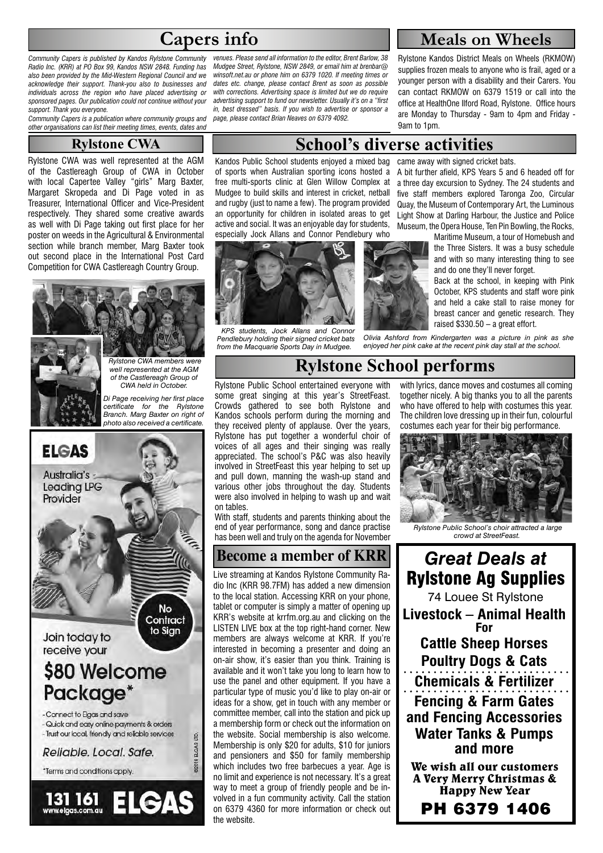# **Capers info**

*Community Capers is published by Kandos Rylstone Community Radio Inc. (KRR) at PO Box 99, Kandos NSW 2848. Funding has also been provided by the Mid-Western Regional Council and we acknowledge their support. Thank-you also to businesses and individuals across the region who have placed advertising or sponsored pages. Our publication could not continue without your support. Thank you everyone.* 

*Community Capers is a publication where community groups and other organisations can list their meeting times, events, dates and* 

#### **Rylstone CWA**

Rylstone CWA was well represented at the AGM of the Castlereagh Group of CWA in October with local Capertee Valley "girls" Marg Baxter, Margaret Skropeda and Di Page voted in as Treasurer, International Officer and Vice-President respectively. They shared some creative awards as well with Di Page taking out first place for her poster on weeds in the Agricultural & Environmental section while branch member, Marg Baxter took out second place in the International Post Card Competition for CWA Castlereagh Country Group.

# *Rylstone CWA members were well represented at the AGM of the Castlereagh Group of CWA held in October. Di Page receiving her first place certificate for the Rylstone Branch. Marg Baxter on right of*

*photo also received a certificate.*



*venues. Please send all information to the editor, Brent Barlow, 38 Mudgee Street, Rylstone, NSW 2849, or email him at brenbar@ winsoft.net.au or phone him on 6379 1020. If meeting times or dates etc. change, please contact Brent as soon as possible with corrections. Advertising space is limited but we do require advertising support to fund our newsletter. Usually it's on a "first in, best dressed" basis. If you wish to advertise or sponsor a page, please contact Brian Neaves on 6379 4092.*

# **Meals on Wheels**

Rylstone Kandos District Meals on Wheels (RKMOW) supplies frozen meals to anyone who is frail, aged or a younger person with a disability and their Carers. You can contact RKMOW on 6379 1519 or call into the office at HealthOne Ilford Road, Rylstone. Office hours are Monday to Thursday - 9am to 4pm and Friday - 9am to 1pm.

## **School's diverse activities**

Kandos Public School students enjoyed a mixed bag of sports when Australian sporting icons hosted a free multi-sports clinic at Glen Willow Complex at Mudgee to build skills and interest in cricket, netball and rugby (just to name a few). The program provided an opportunity for children in isolated areas to get active and social. It was an enjoyable day for students, especially Jock Allans and Connor Pendlebury who



 *KPS students, Jock Allans and Connor Pendlebury holding their signed cricket bats from the Macquarie Sports Day in Mudgee.*



came away with signed cricket bats.

A bit further afield, KPS Years 5 and 6 headed off for a three day excursion to Sydney. The 24 students and five staff members explored Taronga Zoo, Circular Quay, the Museum of Contemporary Art, the Luminous Light Show at Darling Harbour, the Justice and Police Museum, the Opera House, Ten Pin Bowling, the Rocks,

> Maritime Museum, a tour of Homebush and the Three Sisters. It was a busy schedule and with so many interesting thing to see and do one they'll never forget.

> Back at the school, in keeping with Pink October, KPS students and staff wore pink and held a cake stall to raise money for breast cancer and genetic research. They raised \$330.50 – a great effort.

*Olivia Ashford from Kindergarten was a picture in pink as she enjoyed her pink cake at the recent pink day stall at the school.*

# **Rylstone School performs**

Rylstone Public School entertained everyone with some great singing at this year's StreetFeast. Crowds gathered to see both Rylstone and Kandos schools perform during the morning and they received plenty of applause. Over the years, Rylstone has put together a wonderful choir of voices of all ages and their singing was really appreciated. The school's P&C was also heavily involved in StreetFeast this year helping to set up and pull down, manning the wash-up stand and various other jobs throughout the day. Students were also involved in helping to wash up and wait on tables.

With staff, students and parents thinking about the end of year performance, song and dance practise has been well and truly on the agenda for November

## **Become a member of KRR**

Live streaming at Kandos Rylstone Community Radio Inc (KRR 98.7FM) has added a new dimension to the local station. Accessing KRR on your phone, tablet or computer is simply a matter of opening up KRR's website at krrfm.org.au and clicking on the LISTEN LIVE box at the top right-hand corner. New members are always welcome at KRR. If you're interested in becoming a presenter and doing an on-air show, it's easier than you think. Training is available and it won't take you long to learn how to use the panel and other equipment. If you have a particular type of music you'd like to play on-air or ideas for a show, get in touch with any member or committee member, call into the station and pick up a membership form or check out the information on the website. Social membership is also welcome. Membership is only \$20 for adults, \$10 for juniors and pensioners and \$50 for family membership which includes two free barbecues a year. Age is no limit and experience is not necessary. It's a great way to meet a group of friendly people and be involved in a fun community activity. Call the station on 6379 4360 for more information or check out the website.

with lyrics, dance moves and costumes all coming together nicely. A big thanks you to all the parents who have offered to help with costumes this year. The children love dressing up in their fun, colourful costumes each year for their big performance.



 *Rylstone Public School's choir attracted a large crowd at StreetFeast.*

*Great Deals at* Rylstone Ag Supplies 74 Louee St Rylstone **Livestock – Animal Health For Cattle Sheep Horses Poultry Dogs & Cats Chemicals & Fertilizer Fencing & Farm Gates and Fencing Accessories Water Tanks & Pumps and more** We wish all our customers A Very Merry Christmas & Happy New Year

PH 6379 1406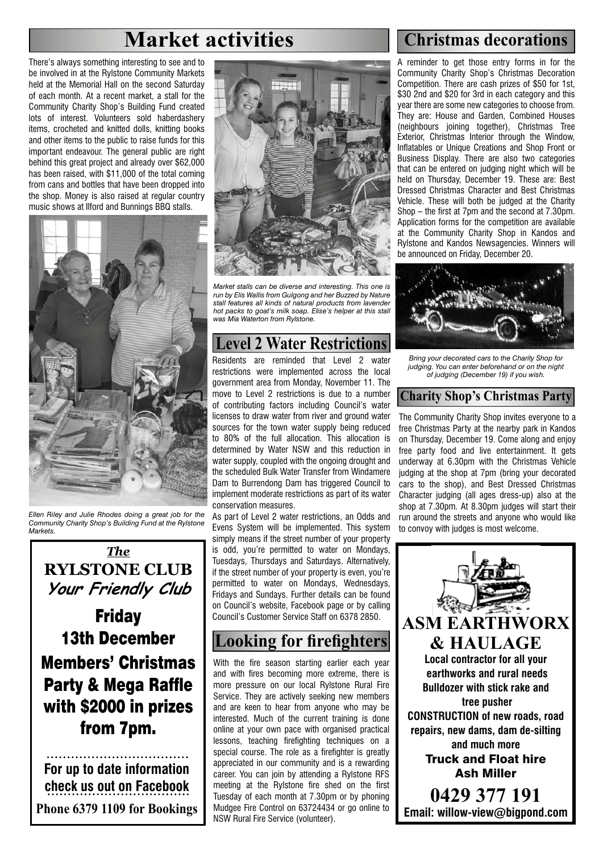# **Market activities Christmas decorations**

There's always something interesting to see and to be involved in at the Rylstone Community Markets held at the Memorial Hall on the second Saturday of each month. At a recent market, a stall for the Community Charity Shop's Building Fund created lots of interest. Volunteers sold haberdashery items, crocheted and knitted dolls, knitting books and other items to the public to raise funds for this important endeavour. The general public are right behind this great project and already over \$62,000 has been raised, with \$11,000 of the total coming from cans and bottles that have been dropped into the shop. Money is also raised at regular country music shows at Ilford and Bunnings BBQ stalls.



*Ellen Riley and Julie Rhodes doing a great job for the Community Charity Shop's Building Fund at the Rylstone Markets.*

*The* **RYLSTONE CLUB Your Friendly Club**

**Friday** 13th December Members' Christmas Party & Mega Raffle with \$2000 in prizes from 7pm.

**For up to date information check us out on Facebook Phone 6379 1109 for Bookings**



*Market stalls can be diverse and interesting. This one is run by Elis Wallis from Gulgong and her Buzzed by Nature stall features all kinds of natural products from lavender hot packs to goat's milk soap. Elise's helper at this stall was Mia Waterton from Rylstone.*

# **Level 2 Water Restrictions**

Residents are reminded that Level 2 water restrictions were implemented across the local government area from Monday, November 11. The move to Level 2 restrictions is due to a number of contributing factors including Council's water licenses to draw water from river and ground water sources for the town water supply being reduced to 80% of the full allocation. This allocation is determined by Water NSW and this reduction in water supply, coupled with the ongoing drought and the scheduled Bulk Water Transfer from Windamere Dam to Burrendong Dam has triggered Council to implement moderate restrictions as part of its water conservation measures.

As part of Level 2 water restrictions, an Odds and Evens System will be implemented. This system simply means if the street number of your property is odd, you're permitted to water on Mondays, Tuesdays, Thursdays and Saturdays. Alternatively, if the street number of your property is even, you're permitted to water on Mondays, Wednesdays, Fridays and Sundays. Further details can be found on Council's website, Facebook page or by calling Council's Customer Service Staff on 6378 2850.

# **Looking for firefighters**

With the fire season starting earlier each year and with fires becoming more extreme, there is more pressure on our local Rylstone Rural Fire Service. They are actively seeking new members and are keen to hear from anyone who may be interested. Much of the current training is done online at your own pace with organised practical lessons, teaching firefighting techniques on a special course. The role as a firefighter is greatly appreciated in our community and is a rewarding career. You can join by attending a Rylstone RFS meeting at the Rylstone fire shed on the first Tuesday of each month at 7.30pm or by phoning Mudgee Fire Control on 63724434 or go online to NSW Rural Fire Service (volunteer).

A reminder to get those entry forms in for the Community Charity Shop's Christmas Decoration Competition. There are cash prizes of \$50 for 1st, \$30 2nd and \$20 for 3rd in each category and this year there are some new categories to choose from. They are: House and Garden, Combined Houses (neighbours joining together), Christmas Tree Exterior, Christmas Interior through the Window, Inflatables or Unique Creations and Shop Front or Business Display. There are also two categories that can be entered on judging night which will be held on Thursday, December 19. These are: Best Dressed Christmas Character and Best Christmas Vehicle. These will both be judged at the Charity Shop – the first at 7pm and the second at 7.30pm. Application forms for the competition are available at the Community Charity Shop in Kandos and Rylstone and Kandos Newsagencies. Winners will be announced on Friday, December 20.



*Bring your decorated cars to the Charity Shop for judging. You can enter beforehand or on the night of judging (December 19) if you wish.*

### **Charity Shop's Christmas Party**

The Community Charity Shop invites everyone to a free Christmas Party at the nearby park in Kandos on Thursday, December 19. Come along and enjoy free party food and live entertainment. It gets underway at 6.30pm with the Christmas Vehicle judging at the shop at 7pm (bring your decorated cars to the shop), and Best Dressed Christmas Character judging (all ages dress-up) also at the shop at 7.30pm. At 8.30pm judges will start their run around the streets and anyone who would like to convoy with judges is most welcome.